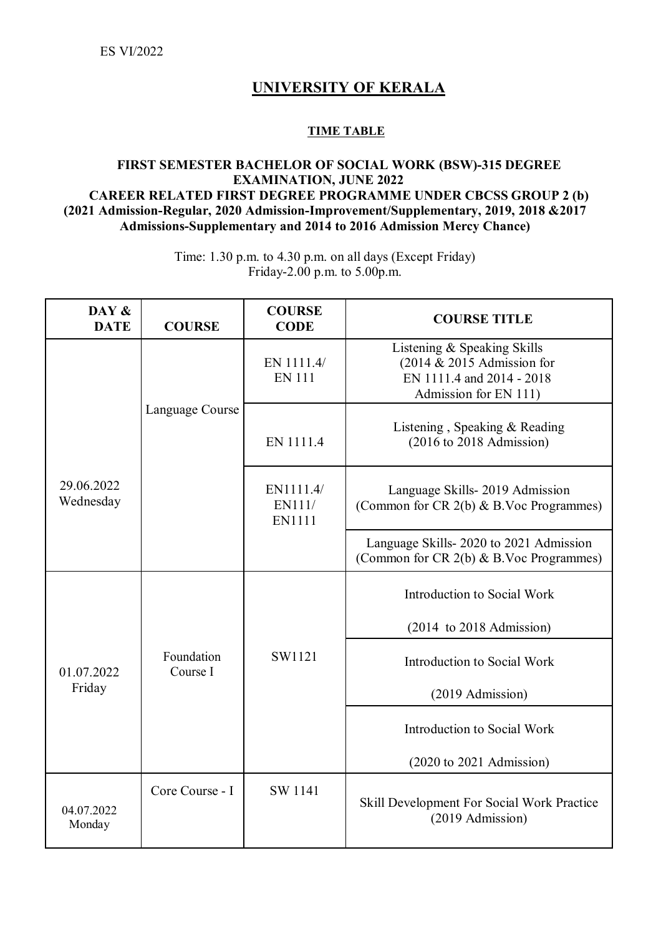ES VI/2022

## **UNIVERSITY OF KERALA**

## **TIME TABLE**

## **FIRST SEMESTER BACHELOR OF SOCIAL WORK (BSW)-315 DEGREE EXAMINATION, JUNE 2022 CAREER RELATED FIRST DEGREE PROGRAMME UNDER CBCSS GROUP 2 (b) (2021 Admission-Regular, 2020 Admission-Improvement/Supplementary, 2019, 2018 &2017 Admissions-Supplementary and 2014 to 2016 Admission Mercy Chance)**

Time: 1.30 p.m. to 4.30 p.m. on all days (Except Friday) Friday-2.00 p.m. to 5.00p.m.

| DAY &<br><b>DATE</b>    | <b>COURSE</b>          | <b>COURSE</b><br><b>CODE</b>  | <b>COURSE TITLE</b>                                                                                                |
|-------------------------|------------------------|-------------------------------|--------------------------------------------------------------------------------------------------------------------|
|                         |                        | EN 1111.4/<br><b>EN 111</b>   | Listening & Speaking Skills<br>$(2014 \& 2015$ Admission for<br>EN 1111.4 and 2014 - 2018<br>Admission for EN 111) |
|                         | Language Course        | EN 1111.4                     | Listening, Speaking & Reading<br>(2016 to 2018 Admission)                                                          |
| 29.06.2022<br>Wednesday |                        | EN1111.4/<br>EN111/<br>EN1111 | Language Skills-2019 Admission<br>(Common for CR 2(b) & B.Voc Programmes)                                          |
|                         |                        |                               | Language Skills-2020 to 2021 Admission<br>(Common for CR 2(b) & B.Voc Programmes)                                  |
| 01.07.2022<br>Friday    |                        |                               | Introduction to Social Work                                                                                        |
|                         | Foundation<br>Course I |                               | $(2014 \text{ to } 2018 \text{ Admission})$                                                                        |
|                         |                        | SW1121                        | Introduction to Social Work                                                                                        |
|                         |                        |                               | (2019 Admission)                                                                                                   |
|                         |                        |                               | Introduction to Social Work                                                                                        |
|                         |                        |                               | $(2020 \text{ to } 2021 \text{ Admission})$                                                                        |
| 04.07.2022<br>Monday    | Core Course - I        | SW 1141                       | Skill Development For Social Work Practice<br>(2019 Admission)                                                     |